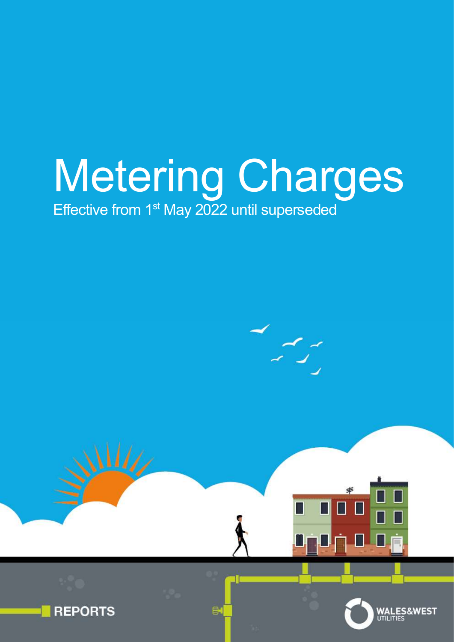# Metering Charges Effective from 1<sup>st</sup> May 2022 until superseded



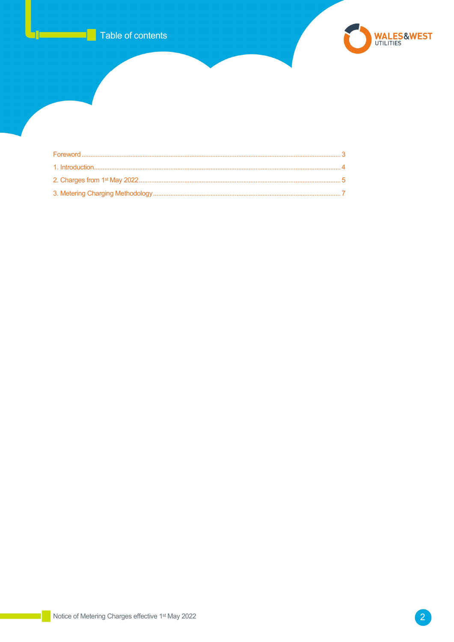

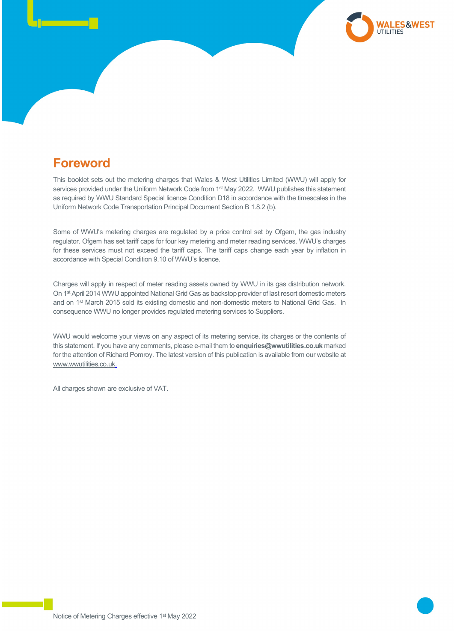## Foreword

This booklet sets out the metering charges that Wales & West Utilities Limited (WWU) will apply for services provided under the Uniform Network Code from 1st May 2022. WWU publishes this statement as required by WWU Standard Special licence Condition D18 in accordance with the timescales in the Uniform Network Code Transportation Principal Document Section B 1.8.2 (b).

Some of WWU's metering charges are regulated by a price control set by Ofgem, the gas industry regulator. Ofgem has set tariff caps for four key metering and meter reading services. WWU's charges for these services must not exceed the tariff caps. The tariff caps change each year by inflation in accordance with Special Condition 9.10 of WWU's licence.

Charges will apply in respect of meter reading assets owned by WWU in its gas distribution network. On 1st April 2014 WWU appointed National Grid Gas as backstop provider of last resort domestic meters and on 1<sup>st</sup> March 2015 sold its existing domestic and non-domestic meters to National Grid Gas. In consequence WWU no longer provides regulated metering services to Suppliers.

WWU would welcome your views on any aspect of its metering service, its charges or the contents of this statement. If you have any comments, please e-mail them to enquiries@wwutilities.co.uk marked for the attention of Richard Pomroy. The latest version of this publication is available from our website at www.wwutilities.co.uk.

All charges shown are exclusive of VAT.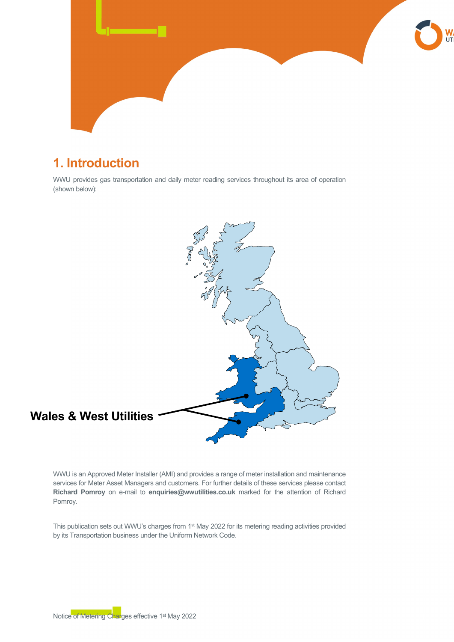

## 1. Introduction

WWU provides gas transportation and daily meter reading services throughout its area of operation (shown below):



WWU is an Approved Meter Installer (AMI) and provides a range of meter installation and maintenance services for Meter Asset Managers and customers. For further details of these services please contact Richard Pomroy on e-mail to enquiries@wwutilities.co.uk marked for the attention of Richard Pomroy.

This publication sets out WWU's charges from 1st May 2022 for its metering reading activities provided by its Transportation business under the Uniform Network Code.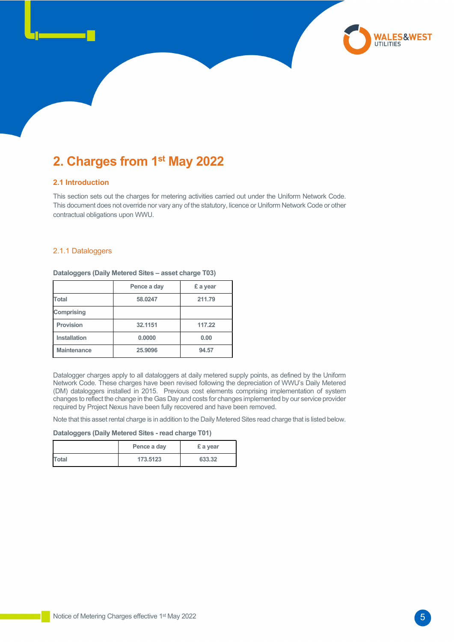## 2. Charges from 1st May 2022

#### 2.1 Introduction

l

This section sets out the charges for metering activities carried out under the Uniform Network Code. This document does not override nor vary any of the statutory, licence or Uniform Network Code or other contractual obligations upon WWU.

#### 2.1.1 Dataloggers

|                    | Pence a day | £ a year |
|--------------------|-------------|----------|
| <b>Total</b>       | 58.0247     | 211.79   |
| Comprising         |             |          |
| <b>Provision</b>   | 32.1151     | 117.22   |
| Installation       | 0.0000      | 0.00     |
| <b>Maintenance</b> | 25.9096     | 94.57    |

Dataloggers (Daily Metered Sites – asset charge T03)

Datalogger charges apply to all dataloggers at daily metered supply points, as defined by the Uniform Network Code. These charges have been revised following the depreciation of WWU's Daily Metered (DM) dataloggers installed in 2015. Previous cost elements comprising implementation of system changes to reflect the change in the Gas Day and costs for changes implemented by our service provider required by Project Nexus have been fully recovered and have been removed.

Note that this asset rental charge is in addition to the Daily Metered Sites read charge that is listed below.

Dataloggers (Daily Metered Sites - read charge T01)

|              | Pence a day | £ a year |
|--------------|-------------|----------|
| <b>Total</b> | 173.5123    | 633.32   |

**WALES&WEST**<br>UTILITIES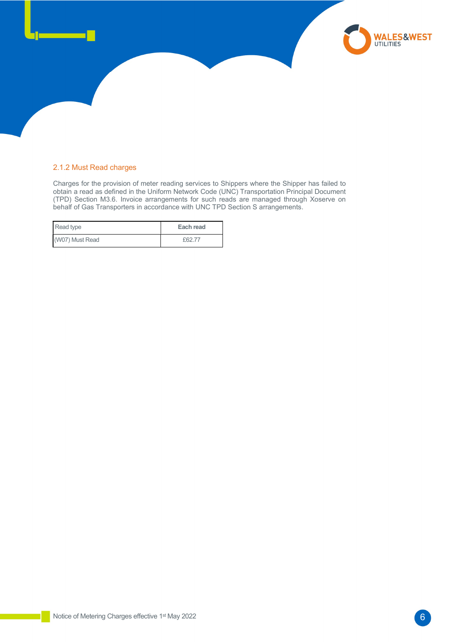#### 2.1.2 Must Read charges

l

Charges for the provision of meter reading services to Shippers where the Shipper has failed to obtain a read as defined in the Uniform Network Code (UNC) Transportation Principal Document (TPD) Section M3.6. Invoice arrangements for such reads are managed through Xoserve on behalf of Gas Transporters in accordance with UNC TPD Section S arrangements.

| Read type       | Each read |
|-----------------|-----------|
| (W07) Must Read | £62.77    |

**WALES&WEST**